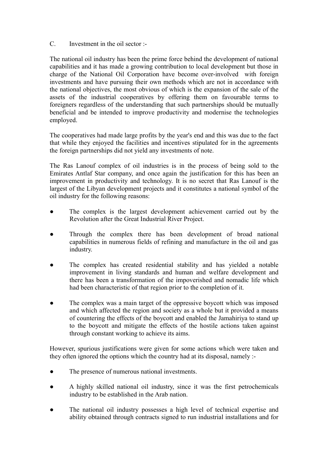## C. Investment in the oil sector :-

The national oil industry has been the prime force behind the development of national capabilities and it has made a growing contribution to local development but those in charge of the National Oil Corporation have become over-involved with foreign investments and have pursuing their own methods which are not in accordance with the national objectives, the most obvious of which is the expansion of the sale of the assets of the industrial cooperatives by offering them on favourable terms to foreigners regardless of the understanding that such partnerships should be mutually beneficial and be intended to improve productivity and modernise the technologies employed.

The cooperatives had made large profits by the year's end and this was due to the fact that while they enjoyed the facilities and incentives stipulated for in the agreements the foreign partnerships did not yield any investments of note.

The Ras Lanouf complex of oil industries is in the process of being sold to the Emirates Antlaf Star company, and once again the justification for this has been an improvement in productivity and technology. It is no secret that Ras Lanouf is the largest of the Libyan development projects and it constitutes a national symbol of the oil industry for the following reasons:

- The complex is the largest development achievement carried out by the Revolution after the Great Industrial River Project.
- Through the complex there has been development of broad national capabilities in numerous fields of refining and manufacture in the oil and gas industry.
- The complex has created residential stability and has yielded a notable improvement in living standards and human and welfare development and there has been a transformation of the impoverished and nomadic life which had been characteristic of that region prior to the completion of it.
- The complex was a main target of the oppressive boycott which was imposed and which affected the region and society as a whole but it provided a means of countering the effects of the boycott and enabled the Jamahiriya to stand up to the boycott and mitigate the effects of the hostile actions taken against through constant working to achieve its aims.

However, spurious justifications were given for some actions which were taken and they often ignored the options which the country had at its disposal, namely :-

- The presence of numerous national investments.
- A highly skilled national oil industry, since it was the first petrochemicals industry to be established in the Arab nation.
- The national oil industry possesses a high level of technical expertise and ability obtained through contracts signed to run industrial installations and for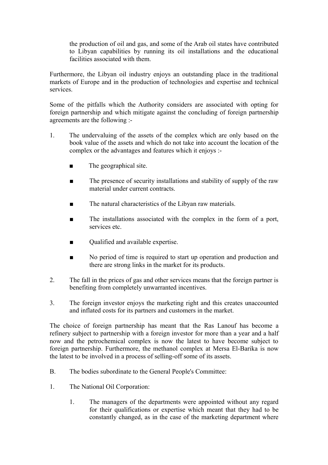the production of oil and gas, and some of the Arab oil states have contributed to Libyan capabilities by running its oil installations and the educational facilities associated with them.

Furthermore, the Libyan oil industry enjoys an outstanding place in the traditional markets of Europe and in the production of technologies and expertise and technical services.

Some of the pitfalls which the Authority considers are associated with opting for foreign partnership and which mitigate against the concluding of foreign partnership agreements are the following :-

- 1. The undervaluing of the assets of the complex which are only based on the book value of the assets and which do not take into account the location of the complex or the advantages and features which it enjoys :-
	- The geographical site.
	- The presence of security installations and stability of supply of the raw material under current contracts.
	- The natural characteristics of the Libyan raw materials.
	- The installations associated with the complex in the form of a port, services etc.
	- Qualified and available expertise.
	- No period of time is required to start up operation and production and there are strong links in the market for its products.
- 2. The fall in the prices of gas and other services means that the foreign partner is benefiting from completely unwarranted incentives.
- 3. The foreign investor enjoys the marketing right and this creates unaccounted and inflated costs for its partners and customers in the market.

The choice of foreign partnership has meant that the Ras Lanouf has become a refinery subject to partnership with a foreign investor for more than a year and a half now and the petrochemical complex is now the latest to have become subject to foreign partnership. Furthermore, the methanol complex at Mersa El-Barika is now the latest to be involved in a process of selling-off some of its assets.

- B. The bodies subordinate to the General People's Committee:
- 1. The National Oil Corporation:
	- 1. The managers of the departments were appointed without any regard for their qualifications or expertise which meant that they had to be constantly changed, as in the case of the marketing department where